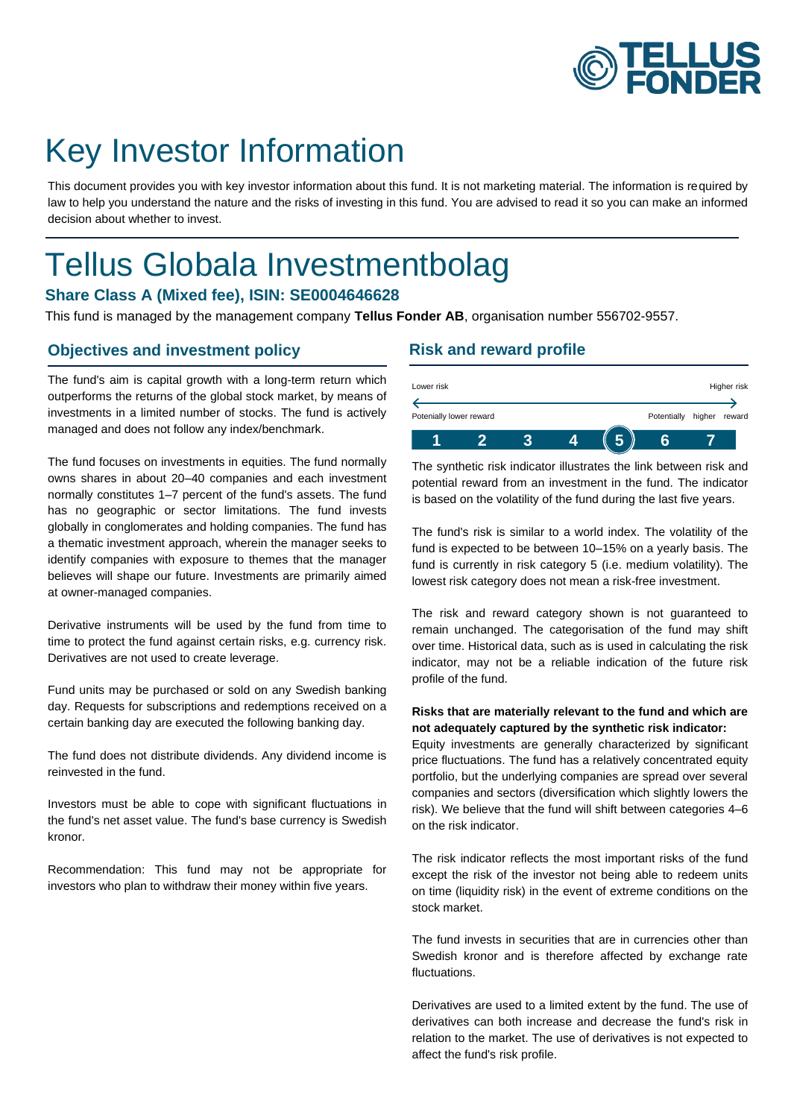

# Key Investor Information

This document provides you with key investor information about this fund. It is not marketing material. The information is required by law to help you understand the nature and the risks of investing in this fund. You are advised to read it so you can make an informed decision about whether to invest.

# Tellus Globala Investmentbolag

## **Share Class A (Mixed fee), ISIN: SE0004646628**

This fund is managed by the management company **Tellus Fonder AB**, organisation number 556702-9557.

#### **Objectives and investment policy**

The fund's aim is capital growth with a long-term return which outperforms the returns of the global stock market, by means of investments in a limited number of stocks. The fund is actively managed and does not follow any index/benchmark.

The fund focuses on investments in equities. The fund normally owns shares in about 20–40 companies and each investment normally constitutes 1–7 percent of the fund's assets. The fund has no geographic or sector limitations. The fund invests globally in conglomerates and holding companies. The fund has a thematic investment approach, wherein the manager seeks to identify companies with exposure to themes that the manager believes will shape our future. Investments are primarily aimed at owner-managed companies.

Derivative instruments will be used by the fund from time to time to protect the fund against certain risks, e.g. currency risk. Derivatives are not used to create leverage.

Fund units may be purchased or sold on any Swedish banking day. Requests for subscriptions and redemptions received on a certain banking day are executed the following banking day.

The fund does not distribute dividends. Any dividend income is reinvested in the fund.

Investors must be able to cope with significant fluctuations in the fund's net asset value. The fund's base currency is Swedish kronor.

Recommendation: This fund may not be appropriate for investors who plan to withdraw their money within five years.

### **Risk and reward profile**

| Lower risk              |  |  |             |        | Higher risk |
|-------------------------|--|--|-------------|--------|-------------|
|                         |  |  |             |        |             |
| Potenially lower reward |  |  | Potentially | higher | reward      |
|                         |  |  |             |        |             |

The synthetic risk indicator illustrates the link between risk and potential reward from an investment in the fund. The indicator is based on the volatility of the fund during the last five years.

The fund's risk is similar to a world index. The volatility of the fund is expected to be between 10–15% on a yearly basis. The fund is currently in risk category 5 (i.e. medium volatility). The lowest risk category does not mean a risk-free investment.

The risk and reward category shown is not guaranteed to remain unchanged. The categorisation of the fund may shift over time. Historical data, such as is used in calculating the risk indicator, may not be a reliable indication of the future risk profile of the fund.

#### **Risks that are materially relevant to the fund and which are not adequately captured by the synthetic risk indicator:**

Equity investments are generally characterized by significant price fluctuations. The fund has a relatively concentrated equity portfolio, but the underlying companies are spread over several companies and sectors (diversification which slightly lowers the risk). We believe that the fund will shift between categories 4–6 on the risk indicator.

The risk indicator reflects the most important risks of the fund except the risk of the investor not being able to redeem units on time (liquidity risk) in the event of extreme conditions on the stock market.

The fund invests in securities that are in currencies other than Swedish kronor and is therefore affected by exchange rate fluctuations.

Derivatives are used to a limited extent by the fund. The use of derivatives can both increase and decrease the fund's risk in relation to the market. The use of derivatives is not expected to affect the fund's risk profile.